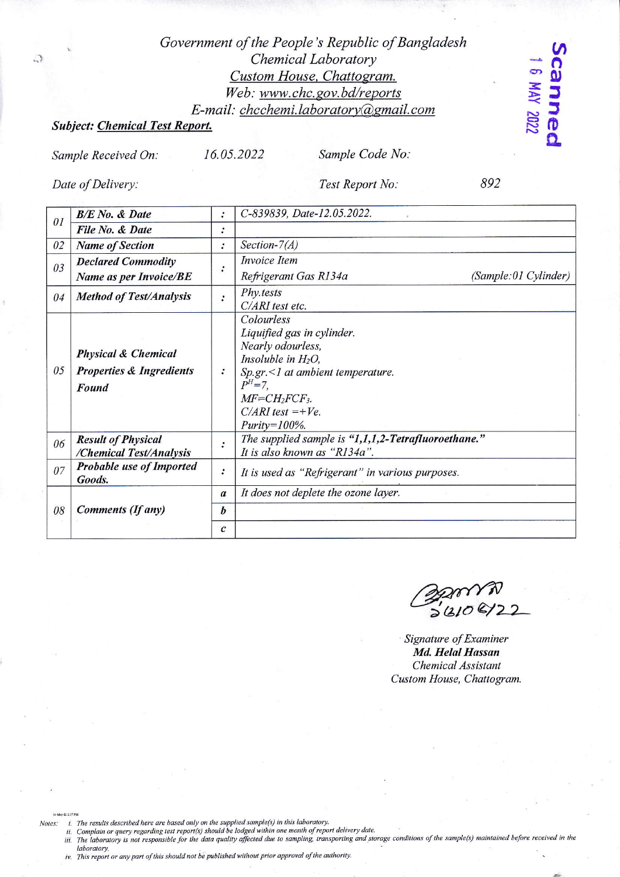## Government of the People's Republic of Bangladesh Chemical Laboratory Custom House, Chattogram. Web: www.chc.gov.bd/reports E-mail: chcchemi.laboratory@gmail.com

16.05.2022

## **Subject: Chemical Test Report.**

Sample Received On:

Sample Code No:

Date of Delivery:

司

Test Report No:

892

canned 1 6 MAY 2022

| 01 | <b>B/E</b> No. & Date                                                                 | $\cdot$          | C-839839, Date-12.05.2022.                                                                                                                                                                                          |
|----|---------------------------------------------------------------------------------------|------------------|---------------------------------------------------------------------------------------------------------------------------------------------------------------------------------------------------------------------|
|    | File No. & Date                                                                       | $\bullet$        |                                                                                                                                                                                                                     |
| 02 | <b>Name of Section</b>                                                                | $\ddot{\cdot}$   | Section- $7(A)$                                                                                                                                                                                                     |
| 03 | <b>Declared Commodity</b>                                                             |                  | Invoice Item                                                                                                                                                                                                        |
|    | <b>Name as per Invoice/BE</b>                                                         |                  | (Sample:01 Cylinder)<br>Refrigerant Gas R134a                                                                                                                                                                       |
| 04 | <b>Method of Test/Analysis</b>                                                        |                  | Phy.tests<br>C/ARI test etc.                                                                                                                                                                                        |
| 05 | <b>Physical &amp; Chemical</b><br><b>Properties &amp; Ingredients</b><br><b>Found</b> |                  | Colourless<br>Liquified gas in cylinder.<br>Nearly odourless,<br>Insoluble in $H_2O$ ,<br>$Sp.gr. < 1$ at ambient temperature.<br>$P^{H} = 7$ .<br>$MF=CH_2FCF_3$ .<br>$C/ARI$ test =+ $Ve$ .<br>$Purity = 100\%$ . |
| 06 | <b>Result of Physical</b><br>/Chemical Test/Analysis                                  | $\ddot{\cdot}$   | The supplied sample is "1,1,1,2-Tetrafluoroethane."<br>It is also known as "R134a".                                                                                                                                 |
| 07 | <b>Probable use of Imported</b><br>Goods.                                             |                  | It is used as "Refrigerant" in various purposes.                                                                                                                                                                    |
| 08 | Comments (If any)                                                                     | $\boldsymbol{a}$ | It does not deplete the ozone layer.                                                                                                                                                                                |
|    |                                                                                       | b                |                                                                                                                                                                                                                     |
|    |                                                                                       | $\mathcal{C}$    |                                                                                                                                                                                                                     |

 $36108/27$ 

Signature of Examiner Md. Helal Hassan Chemical Assistant Custom House, Chattogram.

Notes:

- i. The results described here are based only on the supplied sample(s) in this laboratory.<br>ii. Complain or query regarding test report(s) should be lodged within one month of report delivery date. iii. The laboratory is not responsible for the data quality affected due to sampling, transporting and storage conditions of the sample(s) maintained before received in the
- laboratory

16-May-22 2:37 PM

iv. This report or any part of this should not be published without prior approval of the authority.